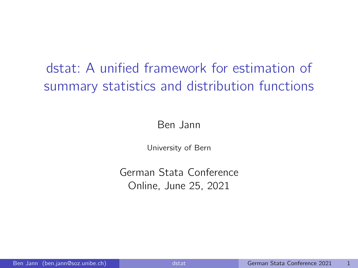# dstat: A unified framework for estimation of summary statistics and distribution functions

Ben Jann

University of Bern

German Stata Conference Online, June 25, 2021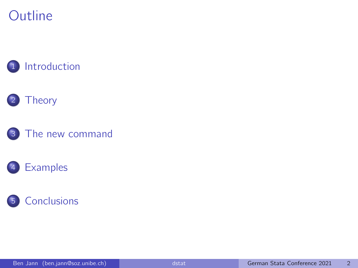## **Outline**



#### **Theory**





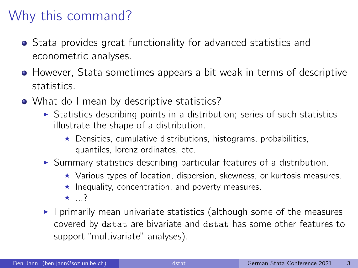# Why this command?

- Stata provides great functionality for advanced statistics and econometric analyses.
- **•** However, Stata sometimes appears a bit weak in terms of descriptive statistics.
- What do I mean by descriptive statistics?
	- $\triangleright$  Statistics describing points in a distribution; series of such statistics illustrate the shape of a distribution.
		- $\star$  Densities, cumulative distributions, histograms, probabilities, quantiles, lorenz ordinates, etc.
	- $\triangleright$  Summary statistics describing particular features of a distribution.
		- $\star$  Various types of location, dispersion, skewness, or kurtosis measures.
		- $\star$  Inequality, concentration, and poverty measures.
		- $\star$  ?
	- $\blacktriangleright$  I primarily mean univariate statistics (although some of the measures covered by dstat are bivariate and dstat has some other features to support "multivariate" analyses).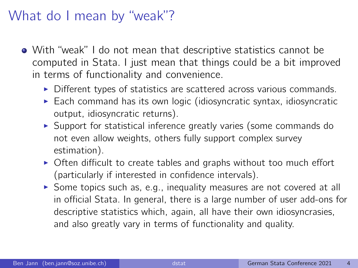### What do I mean by "weak"?

- With "weak" I do not mean that descriptive statistics cannot be computed in Stata. I just mean that things could be a bit improved in terms of functionality and convenience.
	- $\triangleright$  Different types of statistics are scattered across various commands.
	- $\triangleright$  Each command has its own logic (idiosyncratic syntax, idiosyncratic output, idiosyncratic returns).
	- $\triangleright$  Support for statistical inference greatly varies (some commands do not even allow weights, others fully support complex survey estimation).
	- $\triangleright$  Often difficult to create tables and graphs without too much effort (particularly if interested in confidence intervals).
	- $\triangleright$  Some topics such as, e.g., inequality measures are not covered at all in official Stata. In general, there is a large number of user add-ons for descriptive statistics which, again, all have their own idiosyncrasies, and also greatly vary in terms of functionality and quality.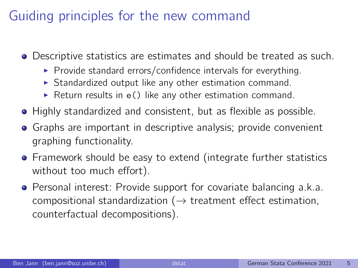# Guiding principles for the new command

- Descriptive statistics are estimates and should be treated as such.
	- $\triangleright$  Provide standard errors/confidence intervals for everything.
	- $\triangleright$  Standardized output like any other estimation command.
	- $\triangleright$  Return results in e() like any other estimation command.
- Highly standardized and consistent, but as flexible as possible.
- Graphs are important in descriptive analysis; provide convenient graphing functionality.
- **•** Framework should be easy to extend (integrate further statistics without too much effort).
- **•** Personal interest: Provide support for covariate balancing a.k.a. compositional standardization ( $\rightarrow$  treatment effect estimation, counterfactual decompositions).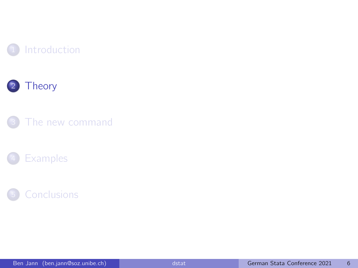







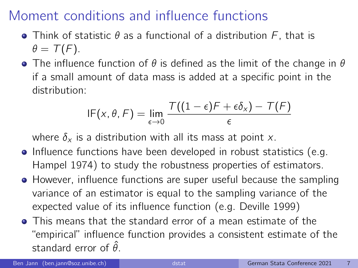- Think of statistic  $\theta$  as a functional of a distribution  $F$ , that is  $\theta = \mathcal{T}(F)$ .
- **•** The influence function of  $\theta$  is defined as the limit of the change in  $\theta$ if a small amount of data mass is added at a specific point in the distribution:

$$
\mathsf{IF}(x,\theta,\mathsf{F}) = \lim_{\epsilon \to 0} \frac{\mathsf{T}((1-\epsilon)\mathsf{F} + \epsilon \delta_x) - \mathsf{T}(\mathsf{F})}{\epsilon}
$$

where  $\delta_x$  is a distribution with all its mass at point x.

- Influence functions have been developed in robust statistics (e.g. Hampel 1974) to study the robustness properties of estimators.
- **•** However, influence functions are super useful because the sampling variance of an estimator is equal to the sampling variance of the expected value of its influence function (e.g. Deville 1999)
- This means that the standard error of a mean estimate of the "empirical" influence function provides a consistent estimate of the standard error of  $\hat{\theta}$ .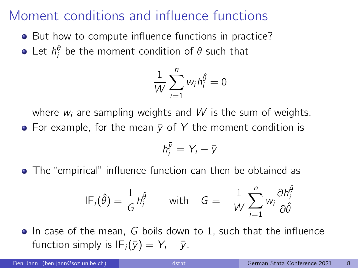- But how to compute influence functions in practice?
- Let  $h_i^{\theta}$  be the moment condition of  $\theta$  such that

$$
\frac{1}{W}\sum_{i=1}^n w_i h_i^{\hat{\theta}} = 0
$$

where  $w_i$  are sampling weights and W is the sum of weights. • For example, for the mean  $\bar{v}$  of Y the moment condition is

$$
h_i^{\bar{y}} = Y_i - \bar{y}
$$

The "empirical" influence function can then be obtained as

$$
IF_i(\hat{\theta}) = \frac{1}{G} h_i^{\hat{\theta}} \qquad \text{with} \quad G = -\frac{1}{W} \sum_{i=1}^n w_i \frac{\partial h_i^{\hat{\theta}}}{\partial \hat{\theta}}
$$

 $\bullet$  In case of the mean, G boils down to 1, such that the influence function simply is  $IF_i(\bar{y}) = Y_i - \bar{y}$ .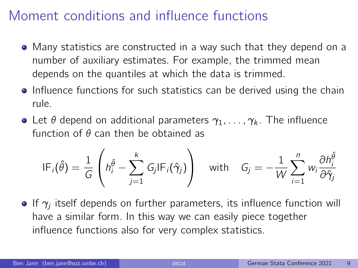- Many statistics are constructed in a way such that they depend on a number of auxiliary estimates. For example, the trimmed mean depends on the quantiles at which the data is trimmed.
- **•** Influence functions for such statistics can be derived using the chain rule.
- Let  $\theta$  depend on additional parameters  $\gamma_1, \ldots, \gamma_k$ . The influence function of  $\theta$  can then be obtained as

$$
IF_i(\hat{\theta}) = \frac{1}{G} \left( h_i^{\hat{\theta}} - \sum_{j=1}^k G_j IF_i(\hat{\gamma}_j) \right) \quad \text{with} \quad G_j = -\frac{1}{W} \sum_{i=1}^n w_i \frac{\partial h_i^{\hat{\theta}}}{\partial \hat{\gamma}_j}
$$

If  $\gamma_j$  itself depends on further parameters, its influence function will have a similar form. In this way we can easily piece together influence functions also for very complex statistics.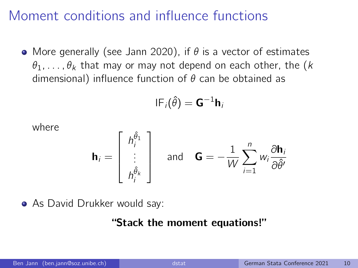• More generally (see Jann 2020), if  $\theta$  is a vector of estimates  $\theta_1, \ldots, \theta_k$  that may or may not depend on each other, the (k dimensional) influence function of  $\theta$  can be obtained as

$$
\mathsf{IF}_i(\hat{\theta}) = \mathsf{G}^{-1} \mathsf{h}_i
$$

where

$$
\mathbf{h}_{i} = \begin{bmatrix} h_{i}^{\hat{\theta}_{1}} \\ \vdots \\ h_{i}^{\hat{\theta}_{k}} \end{bmatrix} \quad \text{and} \quad \mathbf{G} = -\frac{1}{W} \sum_{i=1}^{n} w_{i} \frac{\partial \mathbf{h}_{i}}{\partial \hat{\theta}^{i}}
$$

• As David Drukker would say:

#### "Stack the moment equations!"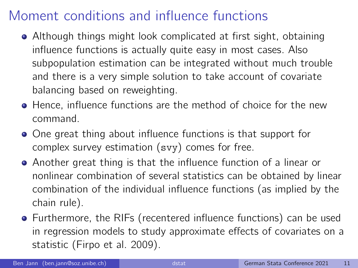- Although things might look complicated at first sight, obtaining influence functions is actually quite easy in most cases. Also subpopulation estimation can be integrated without much trouble and there is a very simple solution to take account of covariate balancing based on reweighting.
- Hence, influence functions are the method of choice for the new command.
- One great thing about influence functions is that support for complex survey estimation (svy) comes for free.
- Another great thing is that the influence function of a linear or nonlinear combination of several statistics can be obtained by linear combination of the individual influence functions (as implied by the chain rule).
- Furthermore, the RIFs (recentered influence functions) can be used in regression models to study approximate effects of covariates on a statistic (Firpo et al. 2009).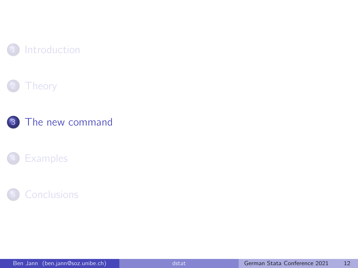







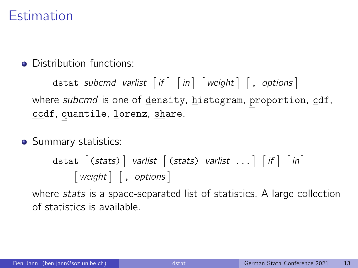## Estimation

• Distribution functions:

<code>dstat subcmd</code> varlist  $\left [ \, \textit{if} \, \right ] \, \left [ \, \textit{in} \, \right ] \, \left [ \, \textit{weight} \, \right ] \, \left [ \, , \, \textit{options} \, \right ]$ where subcmd is one of density, histogram, proportion, cdf, ccdf, quantile, lorenz, share.

• Summary statistics:

 $\textsf{data}\;[\;(\textit{stats})\;]\;$  varlist  $\;[\;(\textit{stats})\;$  varlist  $\; \dots \;]\;[\; \textit{if}\;]\;[\; \textit{in}\;]$  $\lceil$  weight  $\rceil$ , options  $\rceil$ 

where stats is a space-separated list of statistics. A large collection of statistics is available.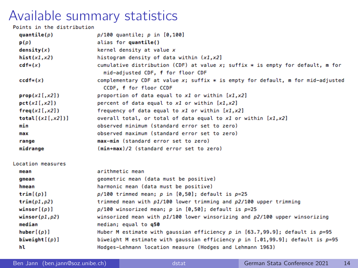| Points in the distribution |                                                                                                                       |
|----------------------------|-----------------------------------------------------------------------------------------------------------------------|
| quantile( $\rho$ )         | $p/100$ quantile; $p$ in $[0, 100]$                                                                                   |
| p(p)                       | alias for quantile()                                                                                                  |
| density(x)                 | kernel density at value x                                                                                             |
| hist(x1,x2)                | histogram density of data within $(x1, x2)$                                                                           |
| $cdf*(x)$                  | cumulative distribution (CDF) at value x; suffix $*$ is empty for default, m for<br>mid-adjusted CDF, f for floor CDF |
| $ccdf*(x)$                 | complementary CDF at value x; suffix $*$ is empty for default, m for mid-adjusted<br>CCDF. f for floor CCDF           |
| prop(x1[, x2])             | proportion of data equal to $x1$ or within $[x1, x2]$                                                                 |
| pct(x1[, x2])              | percent of data equal to x1 or within [x1,x2]                                                                         |
| freq(x1[, x2])             | frequency of data equal to x1 or within [x1,x2]                                                                       |
| total[(x1[,x2])]           | overall total, or total of data equal to x1 or within [x1,x2]                                                         |
| min                        | observed minimum (standard error set to zero)                                                                         |
| max                        | observed maximum (standard error set to zero)                                                                         |
| range                      | max-min (standard error set to zero)                                                                                  |
| midrange                   | (min+max)/2 (standard error set to zero)                                                                              |
| Location measures          |                                                                                                                       |
| mean                       | arithmetic mean                                                                                                       |
| gmean                      | geometric mean (data must be positive)                                                                                |
| hmean                      | harmonic mean (data must be positive)                                                                                 |
| $\text{trim}[(p)]$         | $p/100$ trimmed mean; p in $[0,50]$ ; default is $p=25$                                                               |
| trim(p1,p2)                | trimmed mean with p1/100 lower trimming and p2/100 upper trimming                                                     |
| winscr([p)]                | $p/100$ winsorized mean; p in $[0,50]$ ; default is $p=25$                                                            |
| winsor $(p1, p2)$          | winsorized mean with $p1/100$ lower winsorizing and $p2/100$ upper winsorizing                                        |
| median                     | median; equal to g50                                                                                                  |
| huber[(p)]                 | Huber M estimate with qaussian efficiency $p$ in [63.7,99.9]; default is $p=95$                                       |
|                            |                                                                                                                       |

biweight $[(p)]$ biweight M estimate with gaussian efficiency  $p$  in [.01,99.9]; default is  $p=95$ Hodges-Lehmann location measure (Hodges and Lehmann 1963)

hl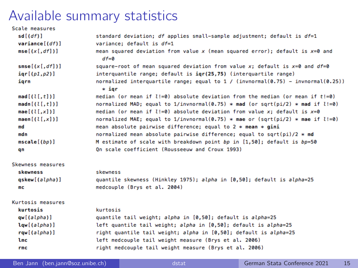| Scale measures    |                                                                                               |
|-------------------|-----------------------------------------------------------------------------------------------|
| sd[(df)]          | standard deviation; df applies small-sample adjustment; default is $df=1$                     |
| variance $[(df)]$ | variance: default is df=1                                                                     |
| mse[(x[, df])]    | mean squared deviation from value x (mean squared error); default is $x=0$ and<br>$df = 0$    |
| smse[(x[, df])]   | square-root of mean squared deviation from value x; default is $x=0$ and $df=0$               |
| iqr[(p1,p2)]      | interquantile range: default is $iar(25.75)$ (interquartile range)                            |
| igrn              | normalized interquartile range; equal to $1 / (invnormal(0.75) - invnormal(0.25))$<br>$*$ iar |
| mad[(l[, t]])     | median (or mean if $l := 0$ ) absolute deviation from the median (or mean if $t := 0$ )       |
| madn[(l[, t])]    | normalized MAD: equal to 1/invnormal(0.75) * mad (or sqrt(pi/2) * mad if $l!=0$ )             |
| mae[(l[,x])]      | median (or mean if $l:=0$ ) absolute deviation from value x; default is $x=0$                 |
| mean[(l[,x])]     | normalized MAE; equal to 1/invnormal(0.75) * mae or (sqrt(pi/2) * mae if $l!=0$ )             |
| md                | mean absolute pairwise difference; equal to $2 * mean * gini$                                 |
| mdn               | normalized mean absolute pairwise difference; equal to sqrt(pi)/2 $*$ md                      |
| mscale[(bp)]      | M estimate of scale with breakdown point bp in [1,50]; default is bp=50                       |
| qn                | On scale coefficient (Rousseeuw and Croux 1993)                                               |
| Skewness measures |                                                                                               |
| skewness          | skewness                                                                                      |
| qskew[(alpha)]    | quantile skewness (Hinkley 1975); alpha in [0,50]; default is alpha=25                        |
| mс                | medcouple (Brys et al. 2004)                                                                  |
| Kurtosis measures |                                                                                               |
| kurtosis          | kurtosis                                                                                      |
| qw[(alpha)]       | quantile tail weight; alpha in [0,50]; default is alpha=25                                    |
| lqw[(alpha)]      | left quantile tail weight; alpha in [0,50]; default is alpha=25                               |
| rqw[(alpha)]      | right quantile tail weight; alpha in [0,50]; default is alpha=25                              |
| lmc               | left medcouple tail weight measure (Brys et al. 2006)                                         |
| rmc               | right medcouple tail weight measure (Brys et al. 2006)                                        |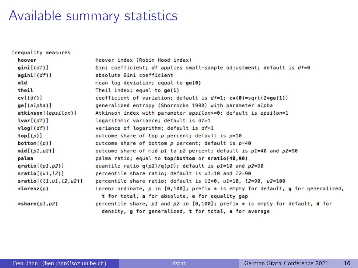| Inequality measures      |                                                                                           |
|--------------------------|-------------------------------------------------------------------------------------------|
| hoover                   | Hoover index (Robin Hood index)                                                           |
| gini[(df)]               | Gini coefficient; df applies small-sample adjustment; default is $df=0$                   |
| agini[(df)]              | absolute Gini coefficient                                                                 |
| mld                      | mean log deviation; equal to $ge(0)$                                                      |
| theil                    | Theil index; equal to $ge(1)$                                                             |
| cv[(df)]                 | coefficient of variation; default is $df=1$ ; $cv(0)=sqrt(2*ge(1))$                       |
| ge[(alpha)]              | generalized entropy (Shorrocks 1980) with parameter alpha                                 |
| atkinson[(epsilon)]      | Atkinson index with parameter epsilon>=0; default is epsilon=1                            |
| lvar[(df)]               | logarithmic variance; default is df=1                                                     |
| vlog[(df)]               | variance of logarithm; default is df=1                                                    |
| top[(p)]                 | outcome share of top p percent; default is p=10                                           |
| bottom([p])              | outcome share of bottom $p$ percent; default is $p=40$                                    |
| mid(p1,p2)]              | outcome share of mid $p1$ to $p2$ percent; default is $p1=40$ and $p2=90$                 |
| palma                    | palma ratio; equal to top/bottom or sratio(40,90)                                         |
| qratio $[(p1,p2)]$       | quantile ratio $q(\rho 2)/q(\rho 1)$ ; default is $\rho 1=10$ and $\rho 2=90$             |
| sratio[(u1, l2)]         | percentile share ratio: default is u1=10 and l2=90                                        |
| sratio [(l1,u1,l2,u2)]   | percentile share ratio; default is $11=0$ , $u1=10$ , $12=90$ , $u2=100$                  |
| $*Iorenz(p)$             | Lorenz ordinate, $p$ in $[0,100]$ ; prefix $*$ is empty for default, $q$ for qeneralized, |
|                          | t for total, a for absolute, e for equality gap                                           |
| $\ast$ share( $p1, p2$ ) | percentile share, $p1$ and $p2$ in [0,100]; prefix $*$ is empty for default, <b>d</b> for |
|                          | density, g for generalized, t for total, a for average                                    |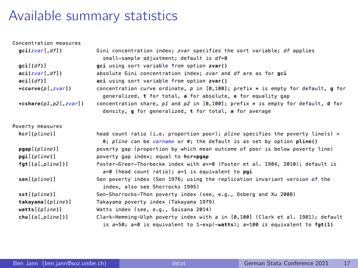| Concentration measures  |                                                                                                                                                               |
|-------------------------|---------------------------------------------------------------------------------------------------------------------------------------------------------------|
| gci(zvar[, df])         | Gini concentration index; zvar specifies the sort variable; df applies<br>small-sample adjustment; default is df=0                                            |
| $\text{gci}[(df)]$      | gci using sort variable from option zvar()                                                                                                                    |
| aci(zvar[, df])         | absolute Gini concentration index; zvar and df are as for gci                                                                                                 |
| aci[(df)]               | aci using sort variable from option zvar()                                                                                                                    |
| $*ccurve(p[,zvar])$     | concentration curve ordinate, $p$ in [0,100]; prefix $*$ is empty for default, g for<br>generalized, t for total, a for absolute, e for equality gap          |
| $*cshare(p1,p2[, zvar]$ | concentration share, $p1$ and $p2$ in [0,100]; prefix $*$ is empty for default, d for<br>density, g for generalized, t for total, a for average               |
| Poverty measures        |                                                                                                                                                               |
| hcr[(plane)]            | head count ratio (i.e. proportion poor); pline specifies the poverty line(s) ><br>0; pline can be varname or #; the default is as set by option pline()       |
| pqap[(plane)]           | poverty gap (proportion by which mean outcome of poor is below poverty line)                                                                                  |
| pgi[(plane)]            | poverty qap index; equal to hcr*pgap                                                                                                                          |
| fgt[(a[,pline])]        | Foster-Greer-Thorbecke index with a>=0 (Foster et al. 1984, 2010); default is<br>$a=0$ (head count ratio); $a=1$ is equivalent to pgi                         |
| sen[(plane)]            | Sen poverty index (Sen 1976; using the replication invariant version of the<br>index, also see Shorrocks 1995)                                                |
| sst[ (pline)]           | Sen-Shorrocks-Thon poverty index (see, e.g., Osberg and Xu 2008)                                                                                              |
| takayama[(pline)]       | Takayama poverty index (Takayama 1979)                                                                                                                        |
| watts[(pline)]          | Watts index (see, e.g., Saisana 2014)                                                                                                                         |
| chu[(a[,pline])]        | Clark-Hemming-Ulph poverty index with a in [0,100] (Clark et al. 1981); default<br>is a=50; a=0 is equivalent to 1-exp(-watts); a=100 is equivalent to fgt(1) |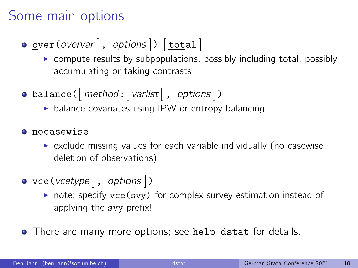## Some main options

 $\texttt{\underline{over}}(\textit{overvar}[\ , \ \textit{options}])\ [\texttt{\underline{total}}]$ 

- $\triangleright$  compute results by subpopulations, possibly including total, possibly accumulating or taking contrasts
- $\underline{\texttt{bal}}$ ance<code>( $[\textit{method}: ]$ varlist $[\ , \ \textit{options} ]$ )</code>
	- $\triangleright$  balance covariates using IPW or entropy balancing
- **O** nocasewise
	- $\triangleright$  exclude missing values for each variable individually (no casewise deletion of observations)
- $\text{vec}(\text{vcetype} \, | \, , \, \text{options} \, |)$ 
	- $\triangleright$  note: specify vce(svy) for complex survey estimation instead of applying the svy prefix!
- There are many more options; see help dstat for details.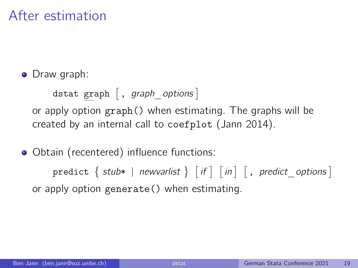## After estimation

• Draw graph:

dstat graph  $[$  , graph options  $]$ or apply option graph() when estimating. The graphs will be created by an internal call to coefplot (Jann 2014).

• Obtain (recentered) influence functions:

 $\texttt{predict}\ \Set{\ \textsf{ stub*}\ |\ \textsf{newvarlist}\ \Set{ \ \textsf{if}\ |\ \textsf{in}\ |\ }, \ \textsf{predict}\_\textsf{options}\ ] }$ or apply option generate() when estimating.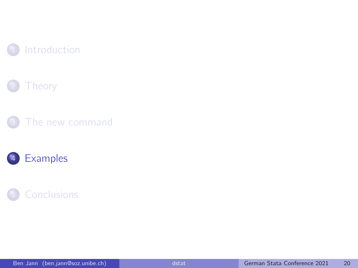







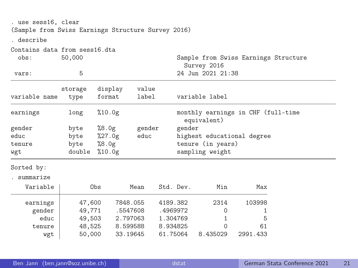| . use sess16, clear<br>(Sample from Swiss Earnings Structure Survey 2016)<br>. describe |              |         |        |                                                     |  |  |  |
|-----------------------------------------------------------------------------------------|--------------|---------|--------|-----------------------------------------------------|--|--|--|
| Contains data from sess16.dta<br>obs:                                                   | 50,000       |         |        | Sample from Swiss Earnings Structure<br>Survey 2016 |  |  |  |
| vars:                                                                                   | 5            |         |        | 24 Jun 2021 21:38                                   |  |  |  |
|                                                                                         | storage      | display | value  |                                                     |  |  |  |
| variable name                                                                           | type         | format  | label  | variable label                                      |  |  |  |
| earnings                                                                                | long         | %10.0g  |        | monthly earnings in CHF (full-time<br>equivalent)   |  |  |  |
| gender                                                                                  | byte         | %8.0g   | gender | gender                                              |  |  |  |
| educ                                                                                    | byte         | %27.0g  | educ   | highest educational degree                          |  |  |  |
| tenure                                                                                  | byte $%8.0g$ |         |        | tenure (in years)                                   |  |  |  |
| wgt                                                                                     | double       | %10.0g  |        | sampling weight                                     |  |  |  |
| Sorted by:                                                                              |              |         |        |                                                     |  |  |  |

. summarize

| Variable | Obs    | Mean     | Std. Dev. | Min      | Max      |
|----------|--------|----------|-----------|----------|----------|
| earnings | 47,600 | 7848.055 | 4189.382  | 2314     | 103998   |
| gender   | 49,771 | .5547608 | .4969972  |          |          |
| educ     | 49,503 | 2.797063 | 1.304769  |          | 5        |
| tenure   | 48.525 | 8.599588 | 8.934825  |          | 61       |
| wgt      | 50,000 | 33.19645 | 61.75064  | 8.435029 | 2991.433 |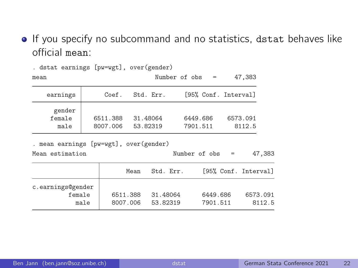**If you specify no subcommand and no statistics, dstat behaves like** official mean:

| mean                     |                      |                      | Number of $obs =$    | 47,383               |
|--------------------------|----------------------|----------------------|----------------------|----------------------|
| earnings                 | Coef.                | Std. Err.            |                      | [95% Conf. Interval] |
| gender<br>female<br>male | 6511.388<br>8007.006 | 31.48064<br>53.82319 | 6449.686<br>7901.511 | 6573.091<br>8112.5   |

. dstat earnings [pw=wgt], over(gender)

. mean earnings [pw=wgt], over(gender)

Mean estimation Number of obs = 47,383

|                                     | Mean                 | Std. Err.            | [95% Conf. Interval] |                    |
|-------------------------------------|----------------------|----------------------|----------------------|--------------------|
| c.earnings@gender<br>female<br>male | 6511.388<br>8007.006 | 31.48064<br>53.82319 | 6449.686<br>7901.511 | 6573.091<br>8112 5 |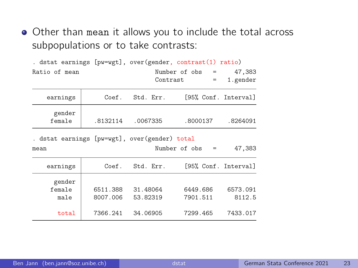Other than mean it allows you to include the total across subpopulations or to take contrasts:

|                                               |          |           | . dstat earnings [pw=wgt], over(gender, contrast(1) ratio) |          |
|-----------------------------------------------|----------|-----------|------------------------------------------------------------|----------|
| Ratio of mean                                 |          |           | Number of obs =                                            | 47,383   |
|                                               |          |           | Contrast<br>$=$                                            | 1.gender |
| earnings                                      | Coef.    | Std. Err. | [95% Conf. Interval]                                       |          |
| gender<br>female                              | .8132114 | .0067335  | .8000137                                                   | .8264091 |
|                                               |          |           |                                                            |          |
| . dstat earnings [pw=wgt], over(gender) total |          |           |                                                            |          |
| mean                                          |          |           | Number of obs =                                            | 47,383   |
| earnings                                      | Coef.    | Std. Err. | [95% Conf. Interval]                                       |          |
| gender                                        |          |           |                                                            |          |
| female                                        | 6511.388 | 31.48064  | 6449.686                                                   | 6573.091 |
| male                                          | 8007.006 | 53.82319  | 7901.511                                                   | 8112.5   |
|                                               |          |           |                                                            |          |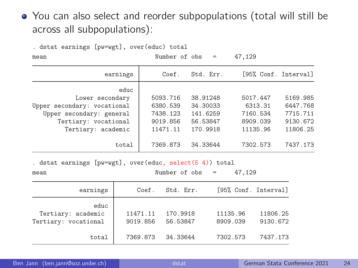#### You can also select and reorder subpopulations (total will still be across all subpopulations):

| . ustat carnings [pw-wgt], over (cuut) totar<br>mean                                                                             | Number of obs                                            | $\sim$ $=$                                               | 47,129                                                  |                                                          |
|----------------------------------------------------------------------------------------------------------------------------------|----------------------------------------------------------|----------------------------------------------------------|---------------------------------------------------------|----------------------------------------------------------|
| earnings                                                                                                                         | Coef.                                                    | Std. Err.                                                |                                                         | [95% Conf. Interval]                                     |
| educ<br>Lower secondary<br>Upper secondary: vocational<br>Upper secondary: general<br>Tertiary: vocational<br>Tertiary: academic | 5093.716<br>6380.539<br>7438.123<br>9019.856<br>11471.11 | 38.91248<br>34.30033<br>141.6259<br>56.53847<br>170.9918 | 5017.447<br>6313.31<br>7160.534<br>8909.039<br>11135.96 | 5169.985<br>6447.768<br>7715.711<br>9130.672<br>11806.25 |
| total                                                                                                                            | 7369.873                                                 | 34.33644                                                 | 7302.573                                                | 7437.173                                                 |

. dstat earnings [pw=wgt], over(educ, select(5 4)) total

 $data$  carnings  $[$  pw=wt],  $^{0}$   $^{0}$   $^{0}$   $^{0}$   $^{0}$   $^{0}$   $^{0}$   $^{0}$   $^{0}$   $^{0}$   $^{0}$   $^{0}$   $^{0}$   $^{0}$   $^{0}$   $^{0}$   $^{0}$   $^{0}$   $^{0}$   $^{0}$   $^{0}$   $^{0}$   $^{0}$   $^{0}$   $^{0}$   $^{0}$   $^{0}$   $^{0}$   $^{0}$   $^{0}$   $^{0}$   $^{0}$   $^{0}$ 

| mean | Number of obs<br>the contract of the contract of the contract of the contract of the contract of | the contract of the contract of | the contract of the contract of |  | 47,129<br>$\sim$ $\sim$ |
|------|--------------------------------------------------------------------------------------------------|---------------------------------|---------------------------------|--|-------------------------|
|------|--------------------------------------------------------------------------------------------------|---------------------------------|---------------------------------|--|-------------------------|

| earnings                                           | Coef.                | Std. Err.            | [95% Conf. Interval] |                      |
|----------------------------------------------------|----------------------|----------------------|----------------------|----------------------|
| educ<br>Tertiary: academic<br>Tertiary: vocational | 11471.11<br>9019.856 | 170.9918<br>56.53847 | 11135.96<br>8909.039 | 11806.25<br>9130.672 |
| total                                              | 7369.873             | 34.33644             | 7302.573             | 7437.173             |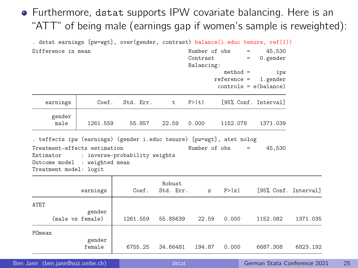#### Furthermore, dstat supports IPW covariate balancing. Here is an "ATT" of being male (earnings gap if women's sample is reweighted):

| . dstat earnings [pw=wgt], over(gender, contrast) balance(i.educ tenure, ref(1))                                                                                                                            |                            |           |                     |                                         |                             |                                            |          |
|-------------------------------------------------------------------------------------------------------------------------------------------------------------------------------------------------------------|----------------------------|-----------|---------------------|-----------------------------------------|-----------------------------|--------------------------------------------|----------|
| Difference in mean                                                                                                                                                                                          |                            |           |                     | Number of obs<br>Contrast<br>Balancing: | $=$<br>$=$                  | 45,530<br>$0.$ gender                      |          |
|                                                                                                                                                                                                             |                            |           |                     |                                         | $method =$<br>$reference =$ | ipw<br>1.gender<br>$controls = e(balance)$ |          |
| earnings                                                                                                                                                                                                    | Coef.                      | Std. Err. | t.                  | P>  t                                   |                             | [95% Conf. Interval]                       |          |
| gender<br>male                                                                                                                                                                                              | 1261.559                   | 55.857    | 22.59               | 0.000                                   | 1152.078                    | 1371.039                                   |          |
| . teffects ipw (earnings) (gender i.educ tenure) [pw=wgt], atet nolog<br>Treatment-effects estimation<br>Estimator : inverse-probability weights<br>Outcome model : weighted mean<br>Treatment model: logit |                            |           |                     |                                         | Number of obs               | 45,530<br>$=$                              |          |
|                                                                                                                                                                                                             | earnings                   | Coef.     | Robust<br>Std. Err. | $\mathbf{z}$                            | P >  z                      | [95% Conf. Interval]                       |          |
| <b>ATET</b>                                                                                                                                                                                                 | gender<br>(male vs female) | 1261.559  | 55.85639            | 22.59                                   | 0.000                       | 1152.082                                   | 1371.035 |
| POmean                                                                                                                                                                                                      | gender<br>female           | 6755.25   | 34.66481            | 194.87                                  | 0.000                       | 6687.308                                   | 6823.192 |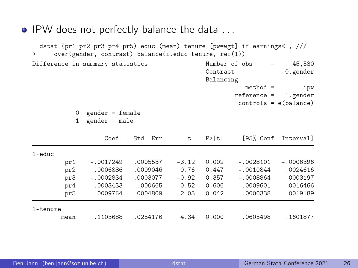• IPW does not perfectly balance the data ...

. dstat (pr1 pr2 pr3 pr4 pr5) educ (mean) tenure [pw=wgt] if earnings<., /// > over(gender, contrast) balance(i.educ tenure, ref(1)) Difference in summary statistics Number of obs = 45,530<br>Contrast = 0 gender  $= 0.$ gender Balancing: method = ipw

reference = 1.gender controls = e(balance)

0: gender = female 1:  $\sigma$ ender = male

|                    | Coef.       | Std. Err. | t.      | P>  t |             | [95% Conf. Interval] |
|--------------------|-------------|-----------|---------|-------|-------------|----------------------|
| $1$ $\approx$ educ |             |           |         |       |             |                      |
| pr1                | $-.0017249$ | .0005537  | $-3.12$ | 0.002 | $-.0028101$ | $-.0006396$          |
| pr2                | .0006886    | .0009046  | 0.76    | 0.447 | $-.0010844$ | .0024616             |
| pr3                | $-.0002834$ | .0003077  | $-0.92$ | 0.357 | $-.0008864$ | .0003197             |
| pr4                | .0003433    | .000665   | 0.52    | 0.606 | $-.0009601$ | .0016466             |
| pr5                | .0009764    | .0004809  | 2.03    | 0.042 | .0000338    | .0019189             |
| $1$ ~tenure        |             |           |         |       |             |                      |
| mean               | .1103688    | .0254176  | 4.34    | 0.000 | .0605498    | .1601877             |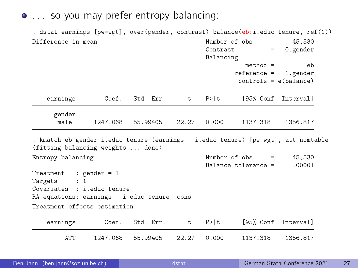• ... so you may prefer entropy balancing:

. dstat earnings [pw=wgt], over(gender, contrast) balance(eb:i.educ tenure, ref(1)) Difference in mean  $\mu$  Number of obs = 45,530<br>Contrast = 0 gender  $= 0.\text{gender}$ Balancing:  $method =$ eb<br>ference = 1.gender  $reference =$ controls = e(balance) earnings Coef. Std. Err. t. P>|t| [95% Conf. Interval] gender<br>male male 1247.068 55.99405 22.27 0.000 1137.318 1356.817 . kmatch eb gender i.educ tenure (earnings = i.educ tenure) [pw=wgt], att nomtable (fitting balancing weights ... done) Entropy balancing  $\mu$  Number of obs = 45,530<br>Ralance tolerance = 00001  $Balance to lernance =$ Treatment : gender = 1 Targets : 1 Covariates : i.educ tenure RA equations: earnings = i.educ tenure \_cons Treatment-effects estimation earnings Coef. Std. Err. t P>|t| [95% Conf. Interval] ATT 1247.068 55.99405 22.27 0.000 1137.318 1356.817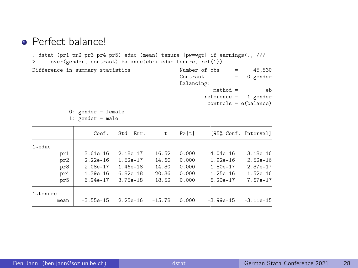#### **•** Perfect balance!

. dstat (pr1 pr2 pr3 pr4 pr5) educ (mean) tenure [pw=wgt] if earnings<., /// > over(gender, contrast) balance(eb:i.educ tenure, ref(1))

Difference in summary statistics Number of obs = 45,530 Contrast = 0.gender Balancing:  $method =$ eb reference = 1.gender controls = e(balance)

0: gender = female

1: gender = male

|           |      | Coef.        | Std. Err.    | t.       | P>  t |              | [95% Conf. Interval] |
|-----------|------|--------------|--------------|----------|-------|--------------|----------------------|
| $1$ ~educ |      |              |              |          |       |              |                      |
|           | pr1  | $-3.61e-16$  | $2.18e-17$   | $-16.52$ | 0.000 | $-4.04e-16$  | $-3.18e-16$          |
|           | pr2  | $2.22e-16$   | $1.52e-17$   | 14.60    | 0.000 | $1.92e - 16$ | $2.52e-16$           |
|           | pr3  | $2.08e-17$   | $1.46e-18$   | 14.30    | 0.000 | $1.80e - 17$ | $2.37e-17$           |
|           | pr4  | $1.39e - 16$ | $6.82e-18$   | 20.36    | 0.000 | $1.25e - 16$ | $1.52e-16$           |
|           | pr5  | $6.94e-17$   | $3.75e - 18$ | 18.52    | 0.000 | $6.20e - 17$ | $7.67e-17$           |
| 1~tenure  |      |              |              |          |       |              |                      |
|           | mean | $-3.55e-15$  | $2.25e-16$   | $-15.78$ | 0.000 | $-3.99e-15$  | $-3.11e-15$          |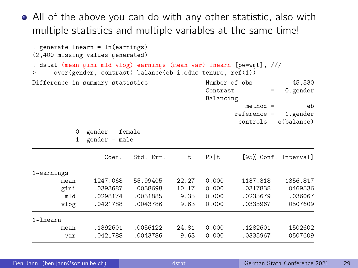All of the above you can do with any other statistic, also with multiple statistics and multiple variables at the same time!

```
. generate lnearn = ln(earnings)
(2,400 missing values generated)
. dstat (mean gini mld vlog) earnings (mean var) lnearn [pw=wgt], ///
     > over(gender, contrast) balance(eb:i.educ tenure, ref(1))
Difference in summary statistics \frac{N}{2} Number of obs = 45,530<br>Contrast = 0 gender
                                                                 = 0.\text{gender}Balancing:
                                                         method = eeb<br>ference = 1.gender
                                                       reference =controls = e(balance)
           0: gender = female
           1: gender = male
                   Coef. Std. Err. t P>|t| [95% Conf. Interval]
1~
earnings
        mean 1247.068 55.99405 22.27 0.000 1137.318 1356.817
        gini .0393687 .0038698 10.17 0.000 .0317838 .0469536
```

| g 1 n 1      | . ७३५५०० / | . vujooyo | 10.11 | v.vvv | . UƏ LI 600 | . ७५०५००० |
|--------------|------------|-----------|-------|-------|-------------|-----------|
| mld          | .0298174   | .0031885  | 9.35  | 0.000 | .0235679    | .036067   |
| vlog         | .0421788   | .0043786  | 9.63  | 0.000 | .0335967    | .0507609  |
| $1 -$ lnearn |            |           |       |       |             |           |
| mean         | .1392601   | .0056122  | 24.81 | 0.000 | .1282601    | .1502602  |
| var          | .0421788   | .0043786  | 9.63  | 0.000 | .0335967    | .0507609  |
|              |            |           |       |       |             |           |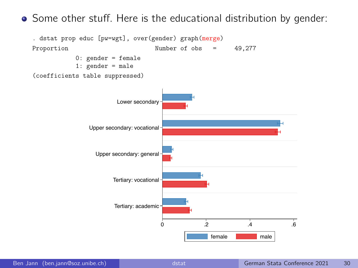Some other stuff. Here is the educational distribution by gender:

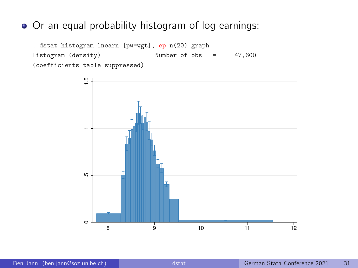#### Or an equal probability histogram of log earnings:

. dstat histogram lnearn [pw=wgt], ep n(20) graph Histogram (density) Number of obs = 47,600 (coefficients table suppressed)

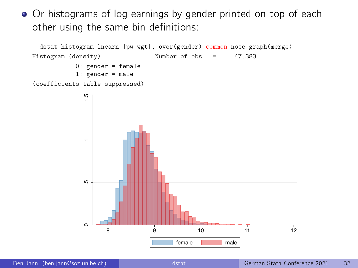• Or histograms of log earnings by gender printed on top of each other using the same bin definitions:

```
. dstat histogram lnearn [pw=wgt], over(gender) common nose graph(merge)
Histogram (density) Number of obs = 47,383
           0: gender = female
           1: gender = male
(coefficients table suppressed)
```
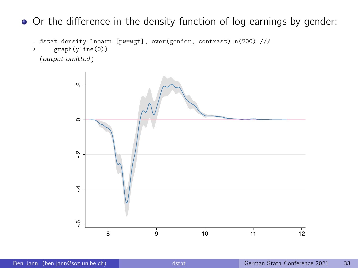• Or the difference in the density function of log earnings by gender:

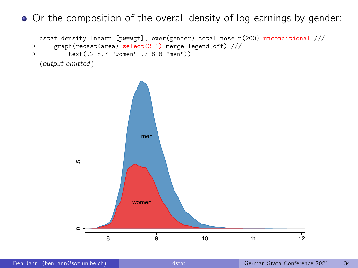• Or the composition of the overall density of log earnings by gender:

```
. dstat density lnearn [pw=wgt], over(gender) total nose n(200) unconditional ///<br>> \sigmaranh(recast(area) select(3.1) merge legend(off) ///
       > graph(recast(area) select(3 1) merge legend(off) ///
> text(.2 8.7 "women" .7 8.8 "men"))
  (output omitted )
```
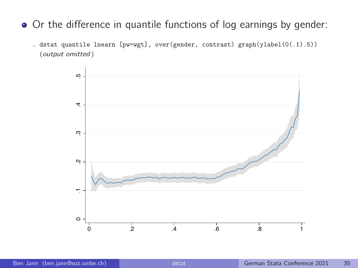- Or the difference in quantile functions of log earnings by gender:
	- . dstat quantile lnearn [pw=wgt], over(gender, contrast) graph(ylabel(0(.1).5)) (output omitted )

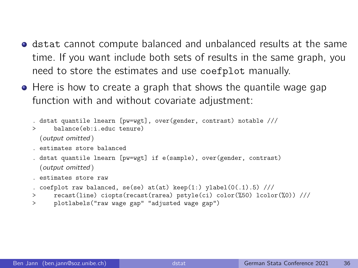- **•** dstat cannot compute balanced and unbalanced results at the same time. If you want include both sets of results in the same graph, you need to store the estimates and use coefplot manually.
- $\bullet$  Here is how to create a graph that shows the quantile wage gap function with and without covariate adjustment:

```
. dstat quantile lnearn [pw=wgt], over(gender, contrast) notable ///
> balance(eb:i.educ.tenure)
 (output omitted )
```
- . estimates store balanced
- . dstat quantile lnearn [pw=wgt] if e(sample), over(gender, contrast) (output omitted )
- . estimates store raw

```
. coefplot raw balanced, se(se) at(at) keep(1:) ylabel(0(.1).5) ///
```
- > recast(line) ciopts(recast(rarea) pstyle(ci) color(%50) lcolor(%0)) ///
- > plotlabels("raw wage gap" "adjusted wage gap")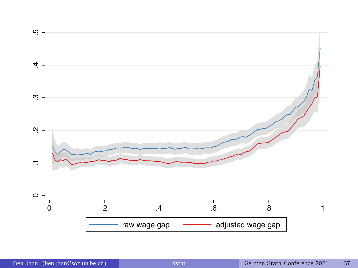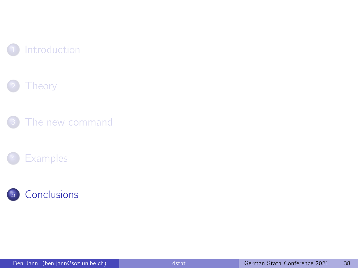







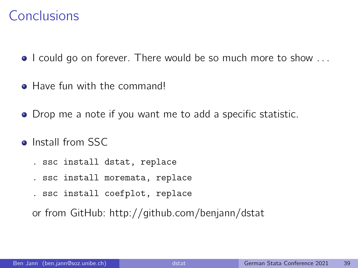#### Conclusions

- I could go on forever. There would be so much more to show ...
- Have fun with the command!
- Drop me a note if you want me to add a specific statistic.
- **o** Install from SSC
	- . ssc install dstat, replace
	- . ssc install moremata, replace
	- . ssc install coefplot, replace

or from GitHub:<http://github.com/benjann/dstat>